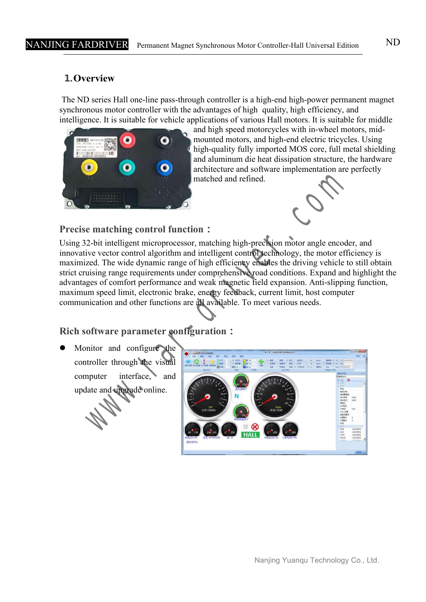## **1.Overview**

The ND series Hall one-line pass-through controller is a high-end high-power permanent magnet synchronous motor controller with the advantages of high quality, high efficiency, and intelligence. It is suitable for vehicle applications of various Hall motors. It is suitable for middle



and high speed motorcycles with in-wheel motors, mid mounted motors, and high-end electric tricycles. Using high-quality fully imported MOS core, full metal shielding and aluminum die heat dissipation structure, the hardware architecture and software implementation are perfectly matched and refined.

## **Precise matching control function:**

Using 32-bit intelligent microprocessor, matching high-precision motor angle encoder, and innovative vector control algorithm and intelligent control technology, the motor efficiency is maximized. The wide dynamic range of high efficiency enables the driving vehicle to still obtain strict cruising range requirements under comprehensive road conditions. Expand and highlight the advantages of comfort performance and weak magnetic field expansion. Anti-slipping function, maximum speed limit, electronic brake, energy feedback, current limit, host computer communication and other functions are all available. To meet various needs. architecture and software implementation are<br>
e matching control function :<br>
2-bit intelligent microprocessor, matching high-precision motor angle encoder<br>
architector control algorithm and intelligent comprehensive period

# **Rich software parameter configuration:**

 Monitor and configure the controller through the visual computer interface, and update and upgrade online.

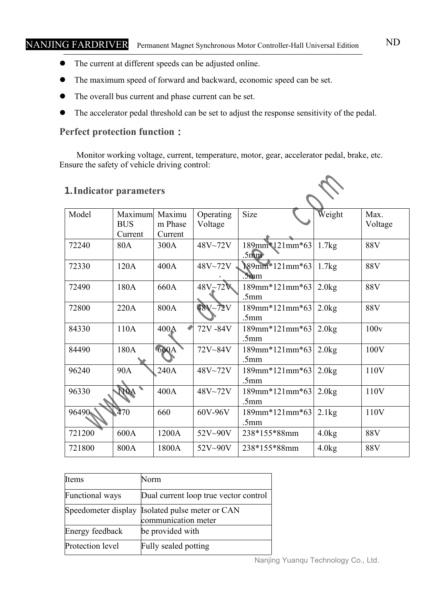# NANJING FARDRIVER Permanent Magnet Synchronous Motor Controller-Hall Universal Edition ND

- The current at different speeds can be adjusted online.
- The maximum speed of forward and backward, economic speed can be set.
- The overall bus current and phase current can be set.
- The accelerator pedal threshold can be set to adjust the response sensitivity of the pedal.

### **Perfect protection function:**

Monitor working voltage, current, temperature, motor, gear, accelerator pedal, brake, etc. Ensure the safety of vehicle driving control:

### **1.Indicator parameters**

| <b>1. Indicator parameters</b> |                                  |                              |                      |                                    |        |                 |
|--------------------------------|----------------------------------|------------------------------|----------------------|------------------------------------|--------|-----------------|
| Model                          | Maximum<br><b>BUS</b><br>Current | Maximu<br>m Phase<br>Current | Operating<br>Voltage | Size                               | Weight | Max.<br>Voltage |
| 72240                          | 80A                              | 300A                         | 48V~72V              | 189mm*121mm*63<br>.5 $\mathbf{mm}$ | 1.7kg  | <b>88V</b>      |
| 72330                          | 120A                             | 400A                         | 48V~72V              | 189mm*121mm*63<br>.5mm             | 1.7kg  | <b>88V</b>      |
| 72490                          | 180A                             | 660A                         | $48V - 72V$          | $189$ mm* $121$ mm* $63$<br>.5mm   | 2.0kg  | 88V             |
| 72800                          | 220A                             | 800A                         | 48V~72V              | 189mm*121mm*63<br>5mm              | 2.0kg  | 88V             |
| 84330                          | 110A                             | 400A                         | 72V-84V              | 189mm*121mm*63<br>.5mm             | 2.0kg  | 100v            |
| 84490                          | 180A                             | 660A                         | 72V~84V              | 189mm*121mm*63<br>.5mm             | 2.0kg  | 100V            |
| 96240                          | 90A                              | 240A                         | 48V~72V              | 189mm*121mm*63<br>.5mm             | 2.0kg  | 110V            |
| 96330                          | 110A                             | 400A                         | 48V~72V              | 189mm*121mm*63<br>.5mm             | 2.0kg  | 110V            |
| 96490                          | 470                              | 660                          | 60V-96V              | 189mm*121mm*63<br>.5 <sub>mm</sub> | 2.1kg  | 110V            |
| 721200                         | 600A                             | 1200A                        | 52V~90V              | 238*155*88mm                       | 4.0kg  | 88V             |
| 721800                         | 800A                             | 1800A                        | 52V~90V              | 238*155*88mm                       | 4.0kg  | 88V             |

| Items            | Norm                                                                   |
|------------------|------------------------------------------------------------------------|
| Functional ways  | Dual current loop true vector control                                  |
|                  | Speedometer display Isolated pulse meter or CAN<br>communication meter |
| Energy feedback  | be provided with                                                       |
| Protection level | Fully sealed potting                                                   |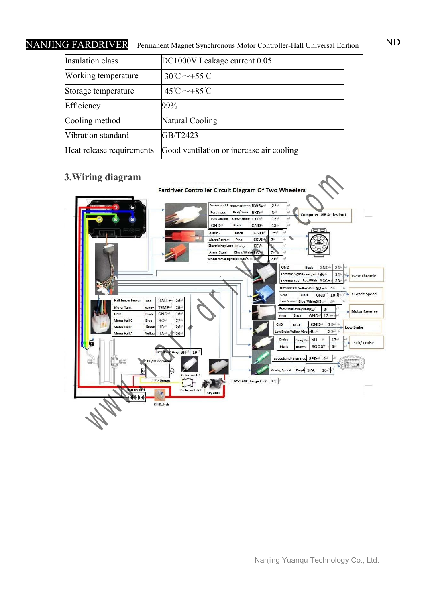NANJING FARDRIVER Permanent Magnet Synchronous Motor Controller-Hall Universal Edition ND

| Insulation class          | DC1000V Leakage current 0.05                   |  |
|---------------------------|------------------------------------------------|--|
| Working temperature       | $-30^{\circ}\text{C}\sim+55^{\circ}\text{C}$   |  |
| Storage temperature       | $-45^{\circ}\text{C}\!\sim+85^{\circ}\text{C}$ |  |
| Efficiency                | 99%                                            |  |
| Cooling method            | Natural Cooling                                |  |
| Vibration standard        | GB/T2423                                       |  |
| Heat release requirements | Good ventilation or increase air cooling       |  |

# **3.Wiring diagram**

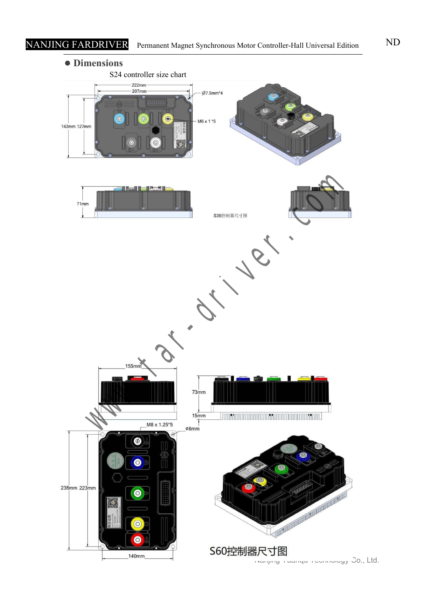**Dimensions** S24 controller size chart  $222mm$ 207mm  $Ø7.5mm*4$  $\Theta$ M6 x 1 \*5 142mm 127mm www.far-driver.com $\bigcirc$  $\bullet$ 亚亚 **CONTRACTOR DE LA CONTRACTION DE LA CONTRACTION DE LA CONTRACTION DE LA CONTRACTION DE LA CONTRACTION DE LA CONTRACTION DE LA CONTRACTION DE LA CONTRACTION DE LA CONTRACTION DE LA CONTRACTION DE LA CONTRACTION DE LA CONTRA** 238mm 223mm  $\bullet$ S60控制器尺寸图 140mm Nanjing Yuanqu Technology Co., Ltd.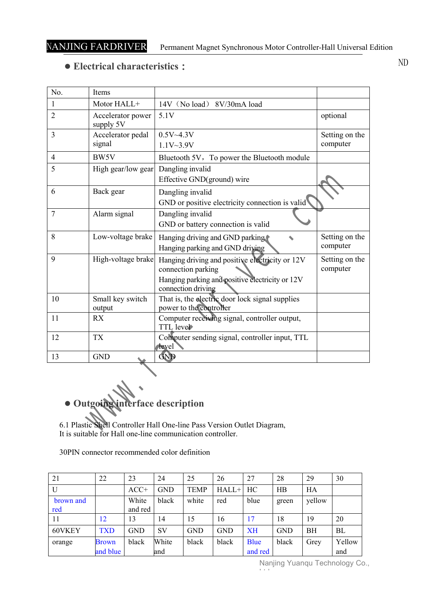## **Electrical characteristics:**

| No.            | Items                            |                                                                         |                |
|----------------|----------------------------------|-------------------------------------------------------------------------|----------------|
| $\mathbf{1}$   | Motor HALL+                      | $14V$ (No load)<br>8V/30mA load                                         |                |
| $\overline{2}$ | Accelerator power<br>supply 5V   | 5.1V                                                                    | optional       |
| 3              | Accelerator pedal                | $0.5V - 4.3V$                                                           | Setting on the |
|                | signal                           | 1.1V~3.9V                                                               | computer       |
| 4              | BW5V                             | Bluetooth 5V, To power the Bluetooth module                             |                |
| 5              | High gear/low gear               | Dangling invalid                                                        |                |
|                |                                  | Effective GND(ground) wire                                              |                |
| 6              | Back gear                        | Dangling invalid                                                        |                |
|                |                                  | GND or positive electricity connection is valid                         |                |
| 7              | Alarm signal                     | Dangling invalid                                                        |                |
|                |                                  | GND or battery connection is valid                                      |                |
| 8              | Low-voltage brake                | Hanging driving and GND parking                                         | Setting on the |
|                |                                  | Hanging parking and GND driving                                         | computer       |
| 9              | High-voltage brake               | Hanging driving and positive electricity or 12V                         | Setting on the |
|                |                                  | connection parking                                                      | computer       |
|                |                                  | Hanging parking and positive electricity or 12V<br>connection driving   |                |
| 10             | Small key switch                 | That is, the electric door lock signal supplies                         |                |
|                | output                           | power to the controller                                                 |                |
| 11             | <b>RX</b>                        | Computer receiving signal, controller output,<br>TTL level              |                |
| 12             | <b>TX</b>                        | Computer sending signal, controller input, TTL<br>level                 |                |
| 13             | <b>GND</b>                       | <b>GND</b>                                                              |                |
|                |                                  |                                                                         |                |
|                |                                  |                                                                         |                |
|                |                                  |                                                                         |                |
|                | · Outgoing Interface description |                                                                         |                |
|                |                                  |                                                                         |                |
|                |                                  | 6.1 Plastic Shell Controller Hall One-line Pass Version Outlet Diagram, |                |

**Outgoing interface description**

6.1 Plastic Shell Controller Hall One-line Pass Version Outlet Diagram, It is suitable for Hall one-line communication controller.

30PIN connector recommended color definition

| 21               | 22           | 23               | 24         | 25          | 26         | 27          | 28         | 29        | 30     |
|------------------|--------------|------------------|------------|-------------|------------|-------------|------------|-----------|--------|
| U                |              | $ACC+$           | <b>GND</b> | <b>TEMP</b> | $HALL+$    | HC          | HB         | HA        |        |
| brown and<br>red |              | White<br>and red | black      | white       | red        | blue        | green      | yellow    |        |
| 11               | 12           | 13               | 14         | 15          | 16         | 7           | 18         | 19        | 20     |
| 60VKEY           | <b>TXD</b>   | <b>GND</b>       | <b>SV</b>  | <b>GND</b>  | <b>GND</b> | <b>XH</b>   | <b>GND</b> | <b>BH</b> | BL     |
| orange           | <b>Brown</b> | black            | White      | black       | black      | <b>Blue</b> | black      | Grey      | Yellow |
|                  | and blue     |                  | land       |             |            | and red     |            |           | and    |

ND

Nanjing Yuanqu Technology Co.,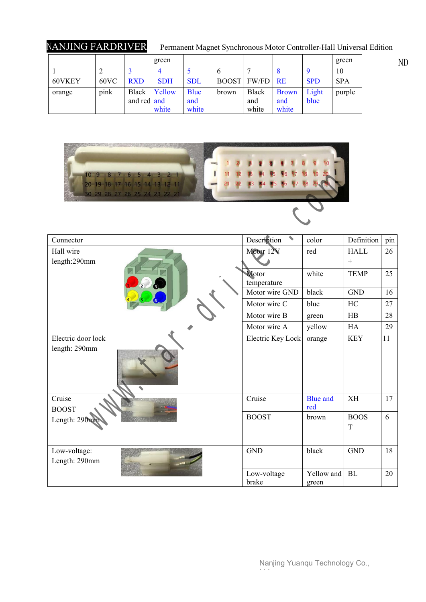NANJING FARDRIVER Permanent Magnet Synchronous Motor Controller-Hall Universal Edition

|        |      |              | green      |             |       |              |              |            | green      | ND |
|--------|------|--------------|------------|-------------|-------|--------------|--------------|------------|------------|----|
|        |      |              |            |             |       |              |              | <b>C</b>   | 10         |    |
| 60VKEY | 60VC | <b>RXD</b>   | <b>SDH</b> | <b>SDL</b>  | BOOST | FW/FD        | RE           | <b>SPD</b> | <b>SPA</b> |    |
| orange | pink | <b>Black</b> | Yellow     | <b>Blue</b> | brown | <b>Black</b> | <b>Brown</b> | Light      | purple     |    |
|        |      | and red and  |            | and         |       | and          | and          | blue       |            |    |
|        |      |              | white      | white       |       | white        | white        |            |            |    |



| 109<br>8                            | $5 \quad 4 \quad 3$<br>$2^{n}1$<br>6<br>$\overline{7}$<br>20 19 18 17 16 15 14 13 12 11<br>30 29 28 27 26 25 24 23 22 21 |                      |                        |                                 |     |
|-------------------------------------|--------------------------------------------------------------------------------------------------------------------------|----------------------|------------------------|---------------------------------|-----|
|                                     |                                                                                                                          |                      |                        |                                 |     |
| Connector                           |                                                                                                                          | Description          | color                  | Definition                      | pin |
| Hall wire<br>length:290mm           |                                                                                                                          | Motor 12V            | red                    | <b>HALL</b><br>$\boldsymbol{+}$ | 26  |
|                                     |                                                                                                                          | Motor<br>temperature | white                  | <b>TEMP</b>                     | 25  |
|                                     |                                                                                                                          | Motor wire GND       | black                  | <b>GND</b>                      | 16  |
|                                     |                                                                                                                          | Motor wire C         | blue                   | HC                              | 27  |
|                                     |                                                                                                                          | Motor wire B         | green                  | HB                              | 28  |
|                                     |                                                                                                                          | Motor wire A         | yellow                 | HA                              | 29  |
| Electric door lock<br>length: 290mm |                                                                                                                          | Electric Key Lock    | orange                 | <b>KEY</b>                      | 11  |
| Cruise<br><b>BOOST</b>              |                                                                                                                          | Cruise               | <b>Blue</b> and<br>red | XH                              | 17  |
| Length: 290mm                       |                                                                                                                          | <b>BOOST</b>         | brown                  | <b>BOOS</b><br>$\mathbf T$      | 6   |
| Low-voltage:<br>Length: 290mm       |                                                                                                                          | <b>GND</b>           | black                  | <b>GND</b>                      | 18  |
|                                     |                                                                                                                          | Low-voltage<br>brake | Yellow and<br>green    | <b>BL</b>                       | 20  |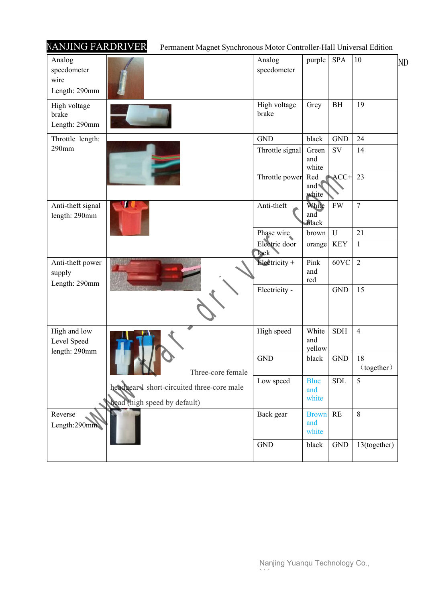| NANJING FARDRIVER                              | Permanent Magnet Synchronous Motor Controller-Hall Universal Edition       |                             |                                          |                      |                  |
|------------------------------------------------|----------------------------------------------------------------------------|-----------------------------|------------------------------------------|----------------------|------------------|
| Analog<br>speedometer<br>wire<br>Length: 290mm |                                                                            | Analog<br>speedometer       | purple                                   | SPA                  | $ 10\rangle$     |
| High voltage<br>brake<br>Length: 290mm         |                                                                            | High voltage<br>brake       | Grey                                     | $\mathbf{BH}$        | 19               |
| Throttle length:                               |                                                                            | <b>GND</b>                  | black                                    | $\operatorname{GND}$ | 24               |
| 290mm                                          |                                                                            | Throttle signal             | Green<br>and<br>white                    | $\mathrm{SV}$        | 14               |
|                                                |                                                                            | Throttle power              | Red<br>and $\blacktriangleleft$<br>white | $ACC+$ 23            |                  |
| Anti-theft signal<br>length: 290mm             |                                                                            | Anti-theft                  | White<br>and<br>black                    | ${\rm FW}$           | $\overline{7}$   |
|                                                |                                                                            | Phase wire                  | brown                                    | ${\bf U}$            | 21               |
|                                                |                                                                            | Electric door<br>lock.      | orange                                   | <b>KEY</b>           | $\mathbf{1}$     |
| Anti-theft power<br>supply<br>Length: 290mm    |                                                                            | $\frac{1}{2}$ Electricity + | Pink<br>and<br>red                       | $60VC$ 2             |                  |
|                                                |                                                                            | Electricity -               |                                          | $\operatorname{GND}$ | 15               |
| High and low<br>Level Speed<br>length: 290mm   |                                                                            | High speed                  | White<br>and<br>yellow                   | <b>SDH</b>           | $\overline{4}$   |
|                                                | Three-core female                                                          | $\operatorname{GND}$        | black                                    | $\operatorname{GND}$ | 18<br>(together) |
|                                                | headgear P short-circuited three-core male<br>head (high speed by default) | Low speed                   | <b>Blue</b><br>and<br>white              | ${\rm SDL}$          | $\sqrt{5}$       |
| Reverse<br>Length:290mm                        |                                                                            | Back gear                   | <b>Brown</b><br>and<br>white             | RE                   | $\,8\,$          |
|                                                |                                                                            | $\operatorname{GND}$        | black                                    | $\operatorname{GND}$ | 13(together)     |
|                                                |                                                                            |                             |                                          |                      |                  |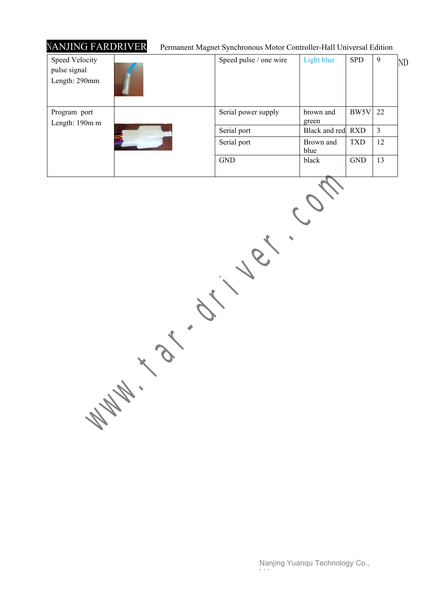### NANJING FARDRIVER Permanent Magnet Synchronous Motor Controller-Hall Universal Edition

| Speed Velocity<br>pulse signal<br>Length: 290mm |  | Speed pulse / one wire | Light blue         | <b>SPD</b>     | 9              | $\overline{\rm ND}$ |
|-------------------------------------------------|--|------------------------|--------------------|----------------|----------------|---------------------|
| Program port<br>Length: 190m m                  |  | Serial power supply    | brown and<br>green | <b>BW5V</b> 22 |                |                     |
|                                                 |  | Serial port            | Black and red RXD  |                | $\overline{3}$ |                     |
|                                                 |  | Serial port            | Brown and<br>blue  | <b>TXD</b>     | 12             |                     |
|                                                 |  | <b>GND</b>             | black              | <b>GND</b>     | 13             |                     |

www.far-driver.com

Nanjing Yuanqu Technology Co.,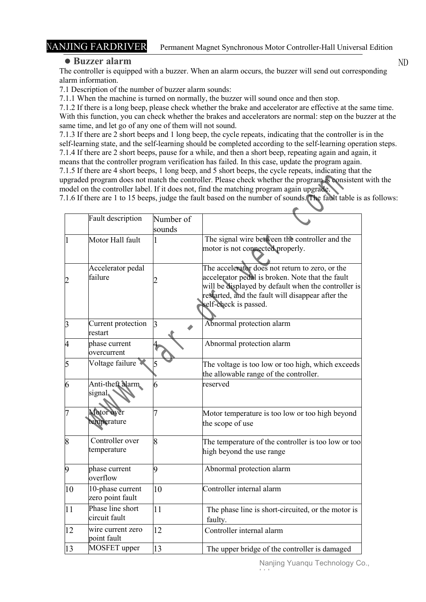### NANJING FARDRIVER Permanent Magnet Synchronous Motor Controller-Hall Universal Edition

### **Buzzer alarm**

The controller is equipped with a buzzer. When an alarm occurs, the buzzer will send out corresponding alarm information.

7.1 Description of the number of buzzer alarm sounds:

7.1.1 When the machine is turned on normally, the buzzer will sound once and then stop.

7.1.2 If there is a long beep, please check whether the brake and accelerator are effective at the same time. With this function, you can check whether the brakes and accelerators are normal: step on the buzzer at the same time, and let go of any one of them will not sound.

7.1.3 If there are 2 short beeps and 1 long beep, the cycle repeats, indicating that the controller is in the self-learning state, and the self-learning should be completed according to the self-learning operation steps. 7.1.4 If there are 2 short beeps, pause for a while, and then a short beep, repeating again and again, it means that the controller program verification has failed. In this case, update the program again. 7.1.5 If there are 4 short beeps, 1 long beep, and 5 short beeps, the cycle repeats, indicating that the upgraded program does not match the controller. Please check whether the program is consistent with the model on the controller label. If it does not, find the matching program again upgrade.

|                |                                      |                     | pgraded program does not match the controller. Please check whether the program is consistent with the<br>nodel on the controller label. If it does not, find the matching program again upgrade.<br>.1.6 If there are 1 to 15 beeps, judge the fault based on the number of sounds. The fault table is as follows: |
|----------------|--------------------------------------|---------------------|---------------------------------------------------------------------------------------------------------------------------------------------------------------------------------------------------------------------------------------------------------------------------------------------------------------------|
|                |                                      |                     |                                                                                                                                                                                                                                                                                                                     |
|                | Fault description                    | Number of<br>sounds |                                                                                                                                                                                                                                                                                                                     |
| $\vert$ 1      | Motor Hall fault                     |                     | The signal wire between the controller and the<br>motor is not connected properly.                                                                                                                                                                                                                                  |
| $\overline{2}$ | Accelerator pedal<br>failure         |                     | The accelerator does not return to zero, or the<br>accelerator pedal is broken. Note that the fault<br>will be displayed by default when the controller is<br>restarted, and the fault will disappear after the<br>self-check is passed.                                                                            |
| $\vert$ 3      | Current protection<br>restart        | 13                  | Abnormal protection alarm                                                                                                                                                                                                                                                                                           |
| 4              | phase current<br>overcurrent         |                     | Abnormal protection alarm                                                                                                                                                                                                                                                                                           |
| 5              | Voltage failure                      |                     | The voltage is too low or too high, which exceeds<br>the allowable range of the controller.                                                                                                                                                                                                                         |
| 6              | Anti-theft alarm.<br>signal          |                     | reserved                                                                                                                                                                                                                                                                                                            |
| 7              | Motor over<br>temperature            |                     | Motor temperature is too low or too high beyond<br>the scope of use                                                                                                                                                                                                                                                 |
| $\vert 8$      | Controller over<br>temperature       | 8                   | The temperature of the controller is too low or too<br>high beyond the use range                                                                                                                                                                                                                                    |
| 9              | phase current<br>overflow            | 19                  | Abnormal protection alarm                                                                                                                                                                                                                                                                                           |
| $ 10\rangle$   | 10-phase current<br>zero point fault | $ 10\rangle$        | Controller internal alarm                                                                                                                                                                                                                                                                                           |
| 11             | Phase line short<br>circuit fault    | 11                  | The phase line is short-circuited, or the motor is<br>faulty.                                                                                                                                                                                                                                                       |
| $ 12\rangle$   | wire current zero<br>point fault     | 12                  | Controller internal alarm                                                                                                                                                                                                                                                                                           |
| $ 13\rangle$   | MOSFET upper                         | $ 13\rangle$        | The upper bridge of the controller is damaged                                                                                                                                                                                                                                                                       |

ND